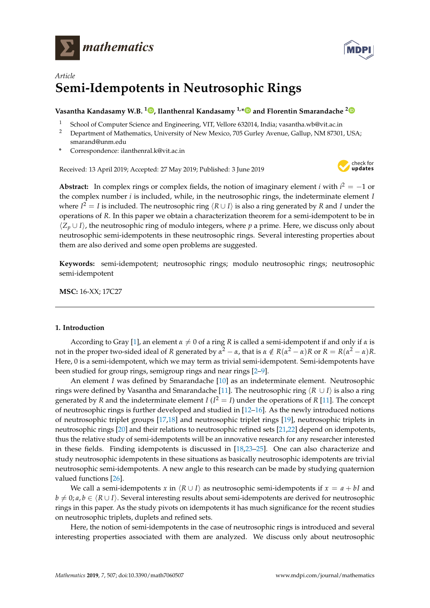



# *Article* **Semi-Idempotents in Neutrosophic Rings**

## **Vasantha Kandasamy W.B. [1](https://orcid.org/0000-0001-9832-1475) , Ilanthenral Kandasamy 1,[\\*](https://orcid.org/0000-0003-4826-9466) and Florentin Smarandache [2](https://orcid.org/0000-0002-5560-5926)**

- <sup>1</sup> School of Computer Science and Engineering, VIT, Vellore 632014, India; vasantha.wb@vit.ac.in
- <sup>2</sup> Department of Mathematics, University of New Mexico, 705 Gurley Avenue, Gallup, NM 87301, USA; smarand@unm.edu
- **\*** Correspondence: ilanthenral.k@vit.ac.in

Received: 13 April 2019; Accepted: 27 May 2019; Published: 3 June 2019



**Abstract:** In complex rings or complex fields, the notion of imaginary element *i* with  $i^2 = -1$  or the complex number *i* is included, while, in the neutrosophic rings, the indeterminate element *I* where  $I^2 = I$  is included. The neutrosophic ring  $\langle R \cup I \rangle$  is also a ring generated by *R* and *I* under the operations of *R*. In this paper we obtain a characterization theorem for a semi-idempotent to be in  $\langle Z_p \cup I \rangle$ , the neutrosophic ring of modulo integers, where *p* a prime. Here, we discuss only about neutrosophic semi-idempotents in these neutrosophic rings. Several interesting properties about them are also derived and some open problems are suggested.

**Keywords:** semi-idempotent; neutrosophic rings; modulo neutrosophic rings; neutrosophic semi-idempotent

**MSC:** 16-XX; 17C27

### <span id="page-0-0"></span>**1. Introduction**

According to Gray [\[1\]](#page-5-0), an element  $\alpha \neq 0$  of a ring *R* is called a semi-idempotent if and only if  $\alpha$  is not in the proper two-sided ideal of *R* generated by  $\alpha^2-\alpha$ , that is  $\alpha \notin R(\alpha^2-\alpha)R$  or  $R=R(\alpha^2-\alpha)R$ . Here, 0 is a semi-idempotent, which we may term as trivial semi-idempotent. Semi-idempotents have been studied for group rings, semigroup rings and near rings [\[2–](#page-5-1)[9\]](#page-5-2).

An element *I* was defined by Smarandache [\[10\]](#page-5-3) as an indeterminate element. Neutrosophic rings were defined by Vasantha and Smarandache [\[11\]](#page-5-4). The neutrosophic ring  $\langle R \cup I \rangle$  is also a ring generated by *R* and the indeterminate element *I* ( $I^2 = I$ ) under the operations of *R* [\[11\]](#page-5-4). The concept of neutrosophic rings is further developed and studied in [\[12](#page-5-5)[–16\]](#page-6-0). As the newly introduced notions of neutrosophic triplet groups [\[17](#page-6-1)[,18\]](#page-6-2) and neutrosophic triplet rings [\[19\]](#page-6-3), neutrosophic triplets in neutrosophic rings [\[20\]](#page-6-4) and their relations to neutrosophic refined sets [\[21,](#page-6-5)[22\]](#page-6-6) depend on idempotents, thus the relative study of semi-idempotents will be an innovative research for any researcher interested in these fields. Finding idempotents is discussed in [\[18](#page-6-2)[,23–](#page-6-7)[25\]](#page-6-8). One can also characterize and study neutrosophic idempotents in these situations as basically neutrosophic idempotents are trivial neutrosophic semi-idempotents. A new angle to this research can be made by studying quaternion valued functions [\[26\]](#page-6-9).

We call a semi-idempotents *x* in  $\langle R \cup I \rangle$  as neutrosophic semi-idempotents if  $x = a + bI$  and  $b \neq 0; a, b \in \langle R \cup I \rangle$ . Several interesting results about semi-idempotents are derived for neutrosophic rings in this paper. As the study pivots on idempotents it has much significance for the recent studies on neutrosophic triplets, duplets and refined sets.

Here, the notion of semi-idempotents in the case of neutrosophic rings is introduced and several interesting properties associated with them are analyzed. We discuss only about neutrosophic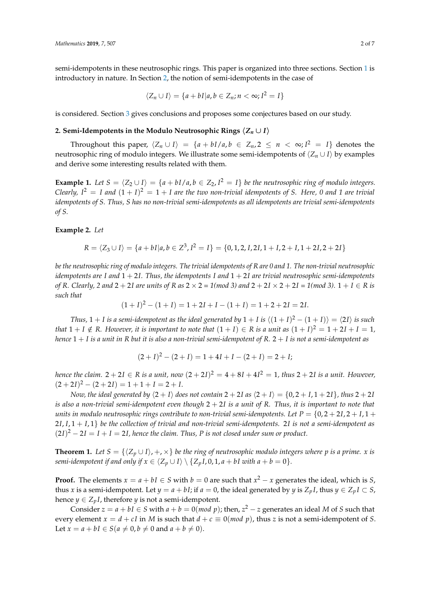semi-idempotents in these neutrosophic rings. This paper is organized into three sections. Section [1](#page-0-0) is introductory in nature. In Section [2,](#page-1-0) the notion of semi-idempotents in the case of

$$
\langle Z_n \cup I \rangle = \{a + bI | a, b \in Z_n; n < \infty; I^2 = I\}
$$

is considered. Section [3](#page-5-6) gives conclusions and proposes some conjectures based on our study.

#### <span id="page-1-0"></span>**2. Semi-Idempotents in the Modulo Neutrosophic Rings**  $\langle Z_n \cup I \rangle$

Throughout this paper,  $\langle Z_n \cup I \rangle = \{a + bI/a, b \in Z_n, 2 \leq n \langle \infty, I^2 = I\}$  denotes the neutrosophic ring of modulo integers. We illustrate some semi-idempotents of  $\langle Z_n \cup I \rangle$  by examples and derive some interesting results related with them.

**Example 1.** Let  $S = \langle Z_2 \cup I \rangle = \{a + bI/a, b \in Z_2, I^2 = I\}$  be the neutrosophic ring of modulo integers. Clearly, I<sup>2</sup>  $=$  I and  $(1 + I)^2 = 1 + I$  are the two non-trivial idempotents of S. Here, 0 and 1 are trivial *idempotents of S. Thus, S has no non-trivial semi-idempotents as all idempotents are trivial semi-idempotents of S.*

#### **Example 2.** *Let*

$$
R = \langle Z_3 \cup I \rangle = \{a + bI | a, b \in Z^3, I^2 = I\} = \{0, 1, 2, I, 2I, 1 + I, 2 + I, 1 + 2I, 2 + 2I\}
$$

*be the neutrosophic ring of modulo integers. The trivial idempotents of R are 0 and 1. The non-trivial neutrosophic idempotents are I and* 1 + 2*I. Thus, the idempotents I and* 1 + 2*I are trivial neutrosophic semi-idempotents of R. Clearly, 2 and*  $2 + 2I$  *are units of*  $R$  *as*  $2 \times 2 = 1$ (*mod 3) and*  $2 + 2I \times 2 + 2I = 1$ (*mod 3)*.  $1 + I \in R$  *is such that*

$$
(1+I)^2 - (1+I) = 1 + 2I + I - (1+I) = 1 + 2 + 2I = 2I.
$$

*Thus,*  $1 + I$  *is a semi-idempotent as the ideal generated by*  $1 + I$  *is*  $\langle (1 + I)^2 - (1 + I) \rangle = \langle 2I \rangle$  *is such that*  $1 + I \notin R$ *. However, it is important to note that*  $(1 + I) \in R$  *is a unit as*  $(1 + I)^2 = 1 + 2I + I = 1$ *, hence* 1 + *I is a unit in R but it is also a non-trivial semi-idempotent of R.* 2 + *I is not a semi-idempotent as*

$$
(2 + I)2 - (2 + I) = 1 + 4I + I - (2 + I) = 2 + I;
$$

*hence the claim.*  $2+2I \in R$  *is a unit, now*  $(2+2I)^2 = 4+8I+4I^2 = 1$ *, thus*  $2+2I$  *is a unit. However,*  $(2+2I)^2 - (2+2I) = 1 + 1 + I = 2 + I.$ 

*Now, the ideal generated by*  $\langle 2 + I \rangle$  *does not contain*  $2 + 2I$  *as*  $\langle 2 + I \rangle = \{0, 2 + I, 1 + 2I\}$ *, thus*  $2 + 2I$ *is also a non-trivial semi-idempotent even though* 2 + 2*I is a unit of R. Thus, it is important to note that units in modulo neutrosophic rings contribute to non-trivial semi-idempotents. Let*  $P = \{0, 2 + 2I, 2 + I, 1 + I\}$ 2*I*, *I*, 1 + *I*, 1} *be the collection of trivial and non-trivial semi-idempotents.* 2*I is not a semi-idempotent as*  $(2I)^{2} - 2I = I + I = 2I$ , hence the claim. Thus, P is not closed under sum or product.

**Theorem 1.** Let  $S = \{(Z_p \cup I), +, \times\}$  be the ring of neutrosophic modulo integers where p is a prime. *x* is *semi-idempotent if and only if*  $x \in \langle Z_p \cup I \rangle \setminus \{Z_pI, 0, 1, a + bI \text{ with } a + b = 0\}.$ 

**Proof.** The elements  $x = a + bI \in S$  with  $b = 0$  are such that  $x^2 - x$  generates the ideal, which is *S*, thus *x* is a semi-idempotent. Let  $y = a + bI$ ; if  $a = 0$ , the ideal generated by  $y$  is  $Z_pI$ , thus  $y \in Z_pI \subset S$ , hence *y*  $\in$  *Z*<sub>*p*</sub>*I*, therefore *y* is not a semi-idempotent.

Consider  $z = a + bI \in S$  with  $a + b = 0 (mod p)$ ; then,  $z^2 - z$  generates an ideal *M* of *S* such that every element  $x = d + cI$  in *M* is such that  $d + c \equiv 0 \pmod{p}$ , thus *z* is not a semi-idempotent of *S*. Let  $x = a + bI \in S(a \neq 0, b \neq 0 \text{ and } a + b \neq 0).$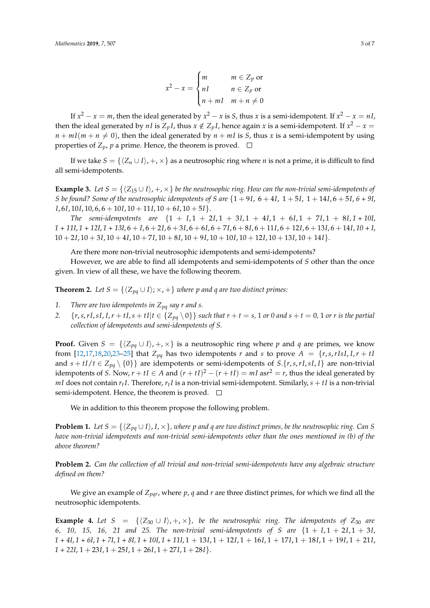$$
x^{2} - x = \begin{cases} m & m \in Z_{p} \text{ or} \\ nI & n \in Z_{p} \text{ or} \\ n + mI & m + n \neq 0 \end{cases}
$$

If  $x^2 - x = m$ , then the ideal generated by  $x^2 - x$  is *S*, thus *x* is a semi-idempotent. If  $x^2 - x = nI$ , then the ideal generated by *nI* is  $Z_pI$ , thus  $x \notin Z_pI$ , hence again  $x$  is a semi-idempotent. If  $x^2 - x =$  $n + mI(m + n \neq 0)$ , then the ideal generated by  $n + mI$  is *S*, thus *x* is a semi-idempotent by using properties of  $Z_p$ ,  $p$  a prime. Hence, the theorem is proved.  $\Box$ 

If we take  $S = \{\langle Z_n \cup I \rangle, +, \times\}$  as a neutrosophic ring where *n* is not a prime, it is difficult to find all semi-idempotents.

**Example 3.** *Let*  $S = \{\langle Z_{15} \cup I \rangle, +, \times\}$  *be the neutrosophic ring. How can the non-trivial semi-idempotents of S* be found? Some of the neutrosophic idempotents of *S* are  $\{1+9I, 6+4I, 1+5I, 1+14I, 6+5I, 6+9I, 6+9I, 6+9I, 6+9I, 6+9I, 6+9I, 6+9I, 6+9I, 6+9I, 6+9I, 6+9I, 6+9I, 6+9I, 6+9I, 6+9I, 6+9I, 6+9I, 6+9I, 6+9I, 6+9I, 6+9I,$ *I*, 6*I*, 10*I*, 10, 6, 6 + 10*I*, 10 + 11*I*, 10 + 6*I*, 10 + 5*I*}.

*The semi-idempotents are* {1 + *I*, 1 + 2*I*, 1 + 3*I*, 1 + 4*I*, 1 + 6*I*, 1 + 7*I*, 1 + 8*I*, *1 + 10I*, *1 + 11I*, *1 + 12I*, *1 + 13I*, 6 + *I*, 6 + 2*I*, 6 + 3*I*, 6 + 6*I*, 6 + 7*I*, 6 + 8*I*, 6 + 11*I*, 6 + 12*I*, 6 + 13*I*, 6 + 14*I*, *10 + I*,  $10 + 2I, 10 + 3I, 10 + 4I, 10 + 7I, 10 + 8I, 10 + 9I, 10 + 10I, 10 + 12I, 10 + 13I, 10 + 14I$ 

Are there more non-trivial neutrosophic idempotents and semi-idempotents?

However, we are able to find all idempotents and semi-idempotents of *S* other than the once given. In view of all these, we have the following theorem.

**Theorem 2.** *Let*  $S = \{\langle Z_{pq} \cup I \rangle; \times, +\}$  *where p and q are two distinct primes:* 

- *1. There are two idempotents in Zpq say r and s.*
- 2.  $\{r, s, rI, sI, I, r + tI, s + tI | t \in \{Z_{pq} \setminus 0\}\}\$  such that  $r + t = s$ , 1 or 0 and  $s + t = 0$ , 1 or r is the partial *collection of idempotents and semi-idempotents of S.*

**Proof.** Given  $S = \{\langle Z_{pq} \cup I \rangle, +, \times\}$  is a neutrosophic ring where *p* and *q* are primes, we know from  $[12,17,18,20,23-25]$  $[12,17,18,20,23-25]$  $[12,17,18,20,23-25]$  $[12,17,18,20,23-25]$  $[12,17,18,20,23-25]$  $[12,17,18,20,23-25]$  that  $Z_{pq}$  has two idempotents *r* and *s* to prove  $A = \{r,s,rIsI, I, r + tI\}$ and  $s + tI/t \in Z_{pq} \setminus \{0\}$  are idempotents or semi-idempotents of  $S.\{r,s,rI,sI,I\}$  are non-trivial idempotents of *S*. Now,  $r + tI \in A$  and  $(r + tI)^2 - (r + tI) = mI$  as $r^2 = r$ , thus the ideal generated by *mI* does not contain  $r_tI$ . Therefore,  $r_tI$  is a non-trivial semi-idempotent. Similarly,  $s + tI$  is a non-trivial semi-idempotent. Hence, the theorem is proved.  $\Box$ 

We in addition to this theorem propose the following problem.

**Problem 1.** *Let*  $S = \{ \langle Z_{pa} \cup I \rangle, I \times \}$ *, where p* and *q* are two distinct primes, be the neutrosophic ring. Can S *have non-trivial idempotents and non-trivial semi-idempotents other than the ones mentioned in (b) of the above theorem?*

**Problem 2.** *Can the collection of all trivial and non-trivial semi-idempotents have any algebraic structure defined on them?*

We give an example of  $Z_{\text{pqr}}$ , where  $p$ ,  $q$  and  $r$  are three distinct primes, for which we find all the neutrosophic idempotents.

**Example 4.** Let  $S = \{ \langle Z_{30} \cup I \rangle, +, \times \}$ , be the neutrosophic ring. The idempotents of  $Z_{30}$  are *6, 10, 15, 16, 21 and 25. The non-trivial semi-idempotents of S are* {1 + *I*, 1 + 2*I*, 1 + 3*I*, *1 + 4I*, *1 + 6I*, *1 + 7I*, *1 + 8I, 1 + 10I*, *1 + 11I*, 1 + 13*I*, 1 + 12*I*, 1 + 16*I*, 1 + 17*I*, 1 + 18*I*, 1 + 19*I*, 1 + 21*I*,  $1 + 22I$ ,  $1 + 23I$ ,  $1 + 25I$ ,  $1 + 26I$ ,  $1 + 27I$ ,  $1 + 28I$ }*.*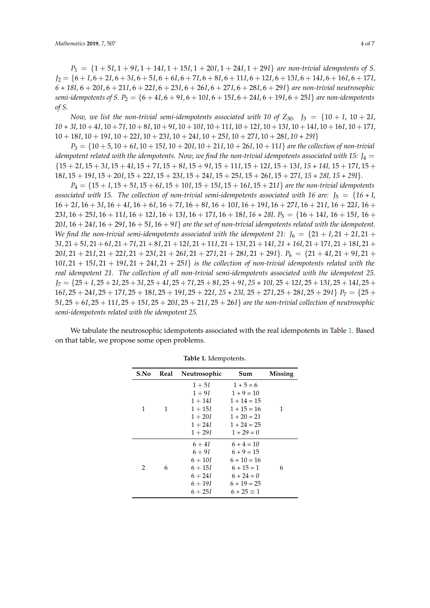$P_1 = \{1 + 5I, 1 + 9I, 1 + 14I, 1 + 15I, 1 + 20I, 1 + 24I, 1 + 29I\}$  *are non-trivial idempotents of S. J*<sup>2</sup> = {6 + *I*, 6 + 2*I*, 6 + 3*I*, 6 + 5*I*, 6 + 6*I*, 6 + 7*I*, 6 + 8*I*, 6 + 11*I*, 6 + 12*I*, 6 + 13*I*, 6 + 14*I*, 6 + 16*I*, 6 + 17*I*, *6 + 18I,* 6 + 20*I*, 6 + 21*I*, 6 + 22*I*, 6 + 23*I*, 6 + 26*I*, 6 + 27*I*, 6 + 28*I*, 6 + 29*I*} *are non-trivial neutrosophic semi-idempotents of S.*  $P_2 = \{6 + 4I, 6 + 9I, 6 + 10I, 6 + 15I, 6 + 24I, 6 + 19I, 6 + 25I\}$  *are non-idempotents of S.*

*Now, we list the non-trivial semi-idempotents associated with 10 of*  $Z_{30}$ *. J\_3 = \{10 + I, 10 + 2I, 10 + 2I, 10 + 2I, 10 + 2I, 10 + 2I, 10 + 2I, 10 + 2I, 10 + 2I, 10 + 2I, 10 + 2I, 10 + 2I, 10 + 2I, 10 + 2I, 10 + 2I, 10 + 2I, 10 + 2I, 10 10 + 3I*, 10+4*I*, 10+7*I*, 10+8*I*, 10+9*I*, 10+10*I*, 10+11*I*, 10+12*I*, 10+13*I*, 10+14*I*, 10+16*I*, 10+17*I*, 10 + 18*I*, 10 + 19*I*, 10 + 22*I*, 10 + 23*I*, 10 + 24*I*, 10 + 25*I*, 10 + 27*I*, 10 + 28*I*, *10 + 29I*}

*P*<sup>3</sup> = {10 + 5, 10 + 6*I*, 10 + 15*I*, 10 + 20*I*, 10 + 21*I*, 10 + 26*I*, 10 + 11*I*} *are the collection of non-trivial idempotent related with the idempotents. Now, we find the non-trivial idempotents associated with 15:*  $J_4$  = {15 + 2*I*, 15 + 3*I*, 15 + 4*I*, 15 + 7*I*, 15 + 8*I*, 15 + 9*I*, 15 + 11*I*, 15 + 12*I*, 15 + 13*I*, *15 + 14I,* 15 + 17*I*, 15 + 18*I*, 15 + 19*I*, 15 + 20*I*, 15 + 22*I*, 15 + 23*I*, 15 + 24*I*, 15 + 25*I*, 15 + 26*I*, 15 + 27*I*, *15 + 28I, 15 + 29I*}.

*P*<sup>4</sup> = {15 + *I*, 15 + 5*I*, 15 + 6*I*, 15 + 10*I*, 15 + 15*I*, 15 + 16*I*, 15 + 21*I*} *are the non-trivial idempotents associated with 15. The collection of non-trivial semi-idempotents associated with 16 are:*  $J_5 = \{16 + I,$ 16 + 2*I*, 16 + 3*I*, 16 + 4*I*, 16 + 6*I*, 16 + 7*I*, 16 + 8*I*, 16 + 10*I*, 16 + 19*I*, 16 + 27*I*, 16 + 21*I*, 16 + 22*I*, 16 + 23*I*, 16 + 25*I*, 16 + 11*I*, 16 + 12*I*, 16 + 13*I*, 16 + 17*I*, 16 + 18*I*, *16 + 28I*. *P*<sup>5</sup> = {16 + 14*I*, 16 + 15*I*, 16 + 20*I*, 16 + 24*I*, 16 + 29*I*, 16 + 5*I*, 16 + 9*I*} *are the set of non-trivial idempotents related with the idempotent. We find the non-trivial semi-idempotents associated with the idempotent 21:*  $J_6 = \{21 + I, 21 + 2I, 21 + I\}$ 3*I*, 21+5*I*, 21+6*I*, 21+7*I*, 21+8*I*, 21+12*I*, 21+11*I*, 21+13*I*, 21+14*I*, *21 + 16I*, 21+17*I*, 21+18*I*, 21+ 20*I*, 21 + 21*I*, 21 + 22*I*, 21 + 23*I*, 21 + 26*I*, 21 + 27*I*, 21 + 28*I*, 21 + 29*I*}. *P*<sup>6</sup> = {21 + 4*I*, 21 + 9*I*, 21 + 10*I*, 21 + 15*I*, 21 + 19*I*, 21 + 24*I*, 21 + 25*I*} *is the collection of non-trivial idempotents related with the real idempotent 21. The collection of all non-trivial semi-idempotents associated with the idempotent 25. J*<sup>7</sup> = {25 + *I*, 25 + 2*I*, 25 + 3*I*, 25 + 4*I*, 25 + 7*I*, 25 + 8*I*, 25 + 9*I*, *25 + 10I,* 25 + 12*I*, 25 + 13*I*, 25 + 14*I*, 25 + 16*I*, 25 + 24*I*, 25 + 17*I*, 25 + 18*I*, 25 + 19*I*, 25 + 22*I*, *25 + 23I,* 25 + 27*I*, 25 + 28*I*, 25 + 29*I*} *P*<sup>7</sup> = {25 + 5*I*, 25 + 6*I*, 25 + 11*I*, 25 + 15*I*, 25 + 20*I*, 25 + 21*I*, 25 + 26*I*} *are the non-trivial collection of neutrosophic semi-idempotents related with the idempotent 25.*

<span id="page-3-0"></span>We tabulate the neutrosophic idempotents associated with the real idempotents in Table [1.](#page-3-0) Based on that table, we propose some open problems.

| S.No | Real | Neutrosophic                                                                          | Sum                                                                                                                 | Missing |
|------|------|---------------------------------------------------------------------------------------|---------------------------------------------------------------------------------------------------------------------|---------|
| 1    | 1    | $1 + 5I$<br>$1 + 9I$<br>$1 + 14I$<br>$1 + 15I$<br>$1 + 20I$<br>$1 + 24I$<br>$1 + 29I$ | $1 + 5 = 6$<br>$1 + 9 = 10$<br>$1 + 14 = 15$<br>$1 + 15 = 16$<br>$1 + 20 = 21$<br>$1 + 24 = 25$<br>$1 + 29 = 0$     | 1       |
| 2    | 6    | $6+4I$<br>$6 + 9I$<br>$6 + 10I$<br>$6 + 15I$<br>$6 + 24I$<br>$6 + 19I$<br>$6 + 25I$   | $6 + 4 = 10$<br>$6 + 9 = 15$<br>$6 + 10 = 16$<br>$6 + 15 = 1$<br>$6 + 24 = 0$<br>$6 + 19 = 25$<br>$6 + 25 \equiv 1$ | 6       |

**Table 1.** Idempotents.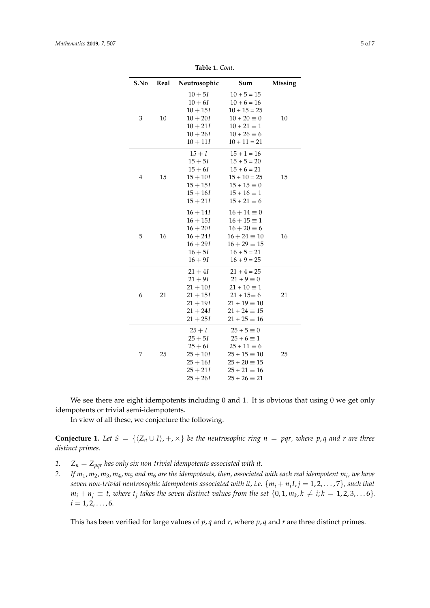| S.No           | Real | Neutrosophic | Sum                 | Missing |
|----------------|------|--------------|---------------------|---------|
| 3              |      | $10 + 5I$    | $10 + 5 = 15$       |         |
|                | 10   | $10 + 6I$    | $10 + 6 = 16$       |         |
|                |      | $10 + 15I$   | $10 + 15 = 25$      |         |
|                |      | $10 + 20I$   | $10 + 20 \equiv 0$  | 10      |
|                |      | $10 + 21I$   | $10 + 21 \equiv 1$  |         |
|                |      | $10 + 26I$   | $10 + 26 \equiv 6$  |         |
|                |      | $10 + 11I$   | $10 + 11 = 21$      |         |
| $\overline{4}$ | 15   | $15 + I$     | $15 + 1 = 16$       |         |
|                |      | $15 + 5I$    | $15 + 5 = 20$       | 15      |
|                |      | $15 + 6I$    | $15 + 6 = 21$       |         |
|                |      | $15 + 10I$   | $15 + 10 = 25$      |         |
|                |      | $15 + 15I$   | $15 + 15 \equiv 0$  |         |
|                |      | $15 + 16I$   | $15 + 16 \equiv 1$  |         |
|                |      | $15 + 21I$   | $15 + 21 \equiv 6$  |         |
| 5              | 16   | $16 + 14I$   | $16 + 14 \equiv 0$  |         |
|                |      | $16 + 15I$   | $16 + 15 \equiv 1$  | 16      |
|                |      | $16 + 20I$   | $16 + 20 \equiv 6$  |         |
|                |      | $16 + 24I$   | $16 + 24 \equiv 10$ |         |
|                |      | $16 + 29I$   | $16 + 29 \equiv 15$ |         |
|                |      | $16 + 5I$    | $16 + 5 = 21$       |         |
|                |      | $16 + 9I$    | $16 + 9 = 25$       |         |
| 6              | 21   | $21 + 4I$    | $21 + 4 = 25$       | 21      |
|                |      | $21 + 9I$    | $21 + 9 \equiv 0$   |         |
|                |      | $21 + 10I$   | $21 + 10 \equiv 1$  |         |
|                |      | $21 + 15I$   | $21 + 15 \equiv 6$  |         |
|                |      | $21 + 19I$   | $21 + 19 \equiv 10$ |         |
|                |      | $21 + 24I$   | $21 + 24 \equiv 15$ |         |
|                |      | $21 + 25I$   | $21 + 25 \equiv 16$ |         |
| 7              | 25   | $25 + I$     | $25 + 5 \equiv 0$   |         |
|                |      | $25 + 5I$    | $25 + 6 \equiv 1$   |         |
|                |      | $25 + 6I$    | $25 + 11 \equiv 6$  |         |
|                |      | $25 + 10I$   | $25 + 15 \equiv 10$ | 25      |
|                |      | $25 + 16I$   | $25 + 20 \equiv 15$ |         |
|                |      | $25 + 21I$   | $25 + 21 \equiv 16$ |         |
|                |      | $25 + 26I$   | $25 + 26 \equiv 21$ |         |

**Table 1.** *Cont*.

We see there are eight idempotents including 0 and 1. It is obvious that using 0 we get only idempotents or trivial semi-idempotents.

In view of all these, we conjecture the following.

**Conjecture 1.** Let  $S = \{(Z_n \cup I), +, \times\}$  be the neutrosophic ring  $n = pqr$ , where p, q and *r* are three *distinct primes.*

- *1.*  $Z_n = Z_{pqr}$  has only six non-trivial idempotents associated with it.
- *2. If m*1, *m*2, *m*3, *m*4, *m*<sup>5</sup> *and m*<sup>6</sup> *are the idempotents, then, associated with each real idempotent m<sup>i</sup> , we have seven non-trivial neutrosophic idempotents associated with it, i.e.* {*m<sup>i</sup>* + *n<sup>j</sup> I*, *j* = 1, 2, . . . , 7}*, such that*  $m_i + n_j \equiv t$ , where  $t_j$  takes the seven distinct values from the set  $\{0, 1, m_k, k \neq i; k = 1, 2, 3, \ldots 6\}$ .  $i = 1, 2, \ldots, 6.$

This has been verified for large values of *p*, *q* and *r*, where *p*, *q* and *r* are three distinct primes.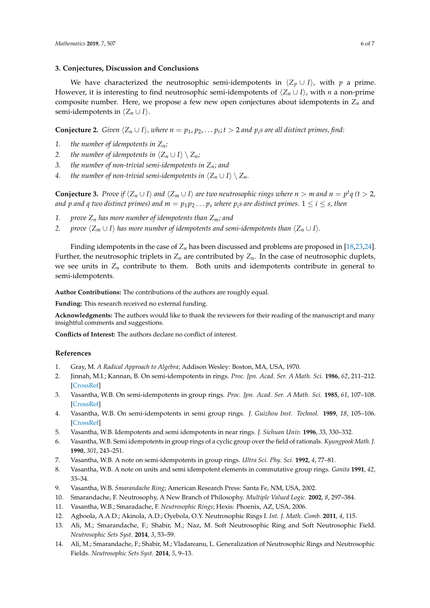### <span id="page-5-6"></span>**3. Conjectures, Discussion and Conclusions**

We have characterized the neutrosophic semi-idempotents in  $\langle Z_p \cup I \rangle$ , with *p* a prime. However, it is interesting to find neutrosophic semi-idempotents of  $\langle Z_n \cup I \rangle$ , with *n* a non-prime composite number. Here, we propose a few new open conjectures about idempotents in *Z<sup>n</sup>* and semi-idempotents in  $\langle Z_n \cup I \rangle$ .

**Conjecture 2.** *Given*  $\langle Z_n \cup I \rangle$ *, where*  $n = p_1, p_2, \ldots, p_t; t > 2$  *and*  $p_i$ *s* are all distinct primes, find:

- *1. the number of idempotents in Zn;*
- *2. the number of idempotents in*  $\langle Z_n \cup I \rangle \setminus Z_n$ *;*
- *3. the number of non-trivial semi-idempotents in Zn; and*
- *4. the number of non-trivial semi-idempotents in*  $\langle Z_n \cup I \rangle \setminus Z_n$ *.*

**Conjecture 3.** Prove if  $\langle Z_n \cup I \rangle$  and  $\langle Z_m \cup I \rangle$  are two neutrosophic rings where  $n > m$  and  $n = p^t q$  ( $t > 2$ , *and*  $p$  *and*  $q$  *two distinct primes) and*  $m = p_1 p_2 \ldots p_s$  *where*  $p_i$ *s are distinct primes.*  $1 \leq i \leq s$ *, then* 

- *1. prove Z<sup>n</sup> has more number of idempotents than Zm; and*
- *2. prove*  $\langle Z_m \cup I \rangle$  *has more number of idempotents and semi-idempotents than*  $\langle Z_n \cup I \rangle$ *.*

Finding idempotents in the case of *Z<sup>n</sup>* has been discussed and problems are proposed in [\[18](#page-6-2)[,23](#page-6-7)[,24\]](#page-6-10). Further, the neutrosophic triplets in  $Z_n$  are contributed by  $Z_n$ . In the case of neutrosophic duplets, we see units in  $Z_n$  contribute to them. Both units and idempotents contribute in general to semi-idempotents.

**Author Contributions:** The contributions of the authors are roughly equal.

**Funding:** This research received no external funding.

**Acknowledgments:** The authors would like to thank the reviewers for their reading of the manuscript and many insightful comments and suggestions.

**Conflicts of Interest:** The authors declare no conflict of interest.

### **References**

- <span id="page-5-0"></span>1. Gray, M. *A Radical Approach to Algebra*; Addison Wesley: Boston, MA, USA, 1970.
- <span id="page-5-1"></span>2. Jinnah, M.I.; Kannan, B. On semi-idempotents in rings. *Proc. Jpn. Acad. Ser. A Math. Sci.* **1986**, *62*, 211–212. [\[CrossRef\]](http://dx.doi.org/10.3792/pjaa.62.211)
- 3. Vasantha, W.B. On semi-idempotents in group rings. *Proc. Jpn. Acad. Ser. A Math. Sci.* **1985**, *61*, 107–108. [\[CrossRef\]](http://dx.doi.org/10.3792/pjaa.61.107)
- 4. Vasantha, W.B. On semi-idempotents in semi group rings. *J. Guizhou Inst. Technol.* **1989**, *18*, 105–106. [\[CrossRef\]](http://dx.doi.org/10.3792/pjaa.61.107)
- 5. Vasantha, W.B. Idempotents and semi idempotents in near rings. *J. Sichuan Univ.* **1996**, *3*3, 330–332.
- 6. Vasantha, W.B. Semi idempotents in group rings of a cyclic group over the field of rationals. *Kyungpook Math. J.* **1990**, *301*, 243–251.
- 7. Vasantha, W.B. A note on semi-idempotents in group rings. *Ultra Sci. Phy. Sci.* **1992**, *4*, 77–81.
- 8. Vasantha, W.B. A note on units and semi idempotent elements in commutative group rings. *Ganita* **1991**, *42*, 33–34.
- <span id="page-5-3"></span><span id="page-5-2"></span>9. Vasantha, W.B. *Smarandache Ring*; American Research Press: Santa Fe, NM, USA, 2002.
- 10. Smarandache, F. Neutrosophy, A New Branch of Philosophy. *Multiple Valued Logic.* **2002**, *8*, 297–384.
- <span id="page-5-4"></span>11. Vasantha, W.B.; Smaradache, F. *Neutrosophic Rings*; Hexis: Phoenix, AZ, USA, 2006.
- <span id="page-5-5"></span>12. Agboola, A.A.D.; Akinola, A.D.; Oyebola, O.Y. Neutrosophic Rings I. *Int. J. Math. Comb.* **2011**, *4*, 115.
- 13. Ali, M.; Smarandache, F.; Shabir, M.; Naz, M. Soft Neutrosophic Ring and Soft Neutrosophic Field. *Neutrosophic Sets Syst.* **2014**, *3*, 53–59.
- 14. Ali, M.; Smarandache, F.; Shabir, M.; Vladareanu, L. Generalization of Neutrosophic Rings and Neutrosophic Fields. *Neutrosophic Sets Syst.* **2014**, *5*, 9–13.